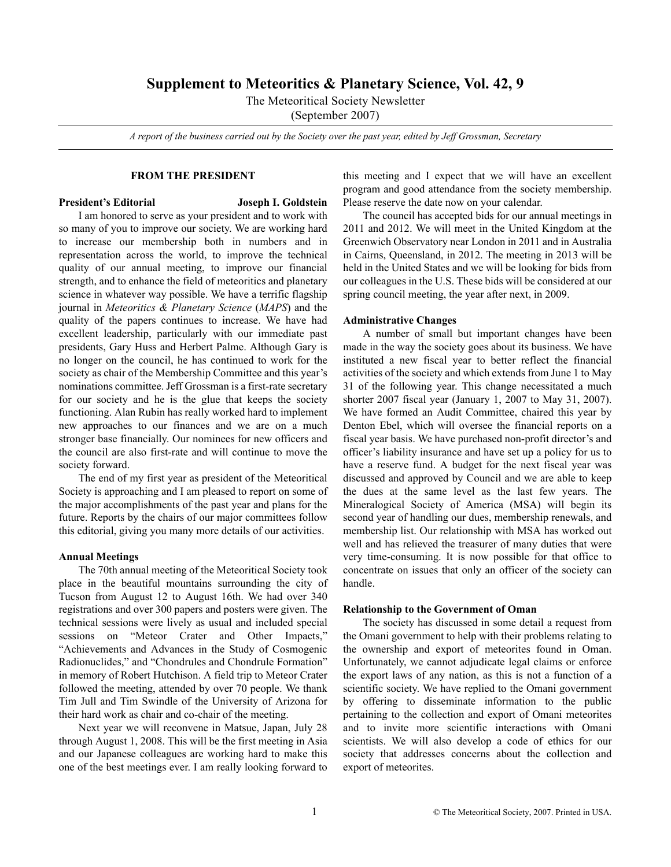# **Supplement to Meteoritics & Planetary Science, Vol. 42, 9**

The Meteoritical Society Newsletter

(September 2007)

*A report of the business carried out by the Society over the past year, edited by Jeff Grossman, Secretary*

#### **FROM THE PRESIDENT**

# **President's Editorial Joseph I. Goldstein**

I am honored to serve as your president and to work with so many of you to improve our society. We are working hard to increase our membership both in numbers and in representation across the world, to improve the technical quality of our annual meeting, to improve our financial strength, and to enhance the field of meteoritics and planetary science in whatever way possible. We have a terrific flagship journal in *Meteoritics & Planetary Science* (*MAPS*) and the quality of the papers continues to increase. We have had excellent leadership, particularly with our immediate past presidents, Gary Huss and Herbert Palme. Although Gary is no longer on the council, he has continued to work for the society as chair of the Membership Committee and this year's nominations committee. Jeff Grossman is a first-rate secretary for our society and he is the glue that keeps the society functioning. Alan Rubin has really worked hard to implement new approaches to our finances and we are on a much stronger base financially. Our nominees for new officers and the council are also first-rate and will continue to move the society forward.

The end of my first year as president of the Meteoritical Society is approaching and I am pleased to report on some of the major accomplishments of the past year and plans for the future. Reports by the chairs of our major committees follow this editorial, giving you many more details of our activities.

#### **Annual Meetings**

The 70th annual meeting of the Meteoritical Society took place in the beautiful mountains surrounding the city of Tucson from August 12 to August 16th. We had over 340 registrations and over 300 papers and posters were given. The technical sessions were lively as usual and included special sessions on "Meteor Crater and Other Impacts," "Achievements and Advances in the Study of Cosmogenic Radionuclides," and "Chondrules and Chondrule Formation" in memory of Robert Hutchison. A field trip to Meteor Crater followed the meeting, attended by over 70 people. We thank Tim Jull and Tim Swindle of the University of Arizona for their hard work as chair and co-chair of the meeting.

Next year we will reconvene in Matsue, Japan, July 28 through August 1, 2008. This will be the first meeting in Asia and our Japanese colleagues are working hard to make this one of the best meetings ever. I am really looking forward to this meeting and I expect that we will have an excellent program and good attendance from the society membership. Please reserve the date now on your calendar.

The council has accepted bids for our annual meetings in 2011 and 2012. We will meet in the United Kingdom at the Greenwich Observatory near London in 2011 and in Australia in Cairns, Queensland, in 2012. The meeting in 2013 will be held in the United States and we will be looking for bids from our colleagues in the U.S. These bids will be considered at our spring council meeting, the year after next, in 2009.

### **Administrative Changes**

A number of small but important changes have been made in the way the society goes about its business. We have instituted a new fiscal year to better reflect the financial activities of the society and which extends from June 1 to May 31 of the following year. This change necessitated a much shorter 2007 fiscal year (January 1, 2007 to May 31, 2007). We have formed an Audit Committee, chaired this year by Denton Ebel, which will oversee the financial reports on a fiscal year basis. We have purchased non-profit director's and officer's liability insurance and have set up a policy for us to have a reserve fund. A budget for the next fiscal year was discussed and approved by Council and we are able to keep the dues at the same level as the last few years. The Mineralogical Society of America (MSA) will begin its second year of handling our dues, membership renewals, and membership list. Our relationship with MSA has worked out well and has relieved the treasurer of many duties that were very time-consuming. It is now possible for that office to concentrate on issues that only an officer of the society can handle.

#### **Relationship to the Government of Oman**

The society has discussed in some detail a request from the Omani government to help with their problems relating to the ownership and export of meteorites found in Oman. Unfortunately, we cannot adjudicate legal claims or enforce the export laws of any nation, as this is not a function of a scientific society. We have replied to the Omani government by offering to disseminate information to the public pertaining to the collection and export of Omani meteorites and to invite more scientific interactions with Omani scientists. We will also develop a code of ethics for our society that addresses concerns about the collection and export of meteorites.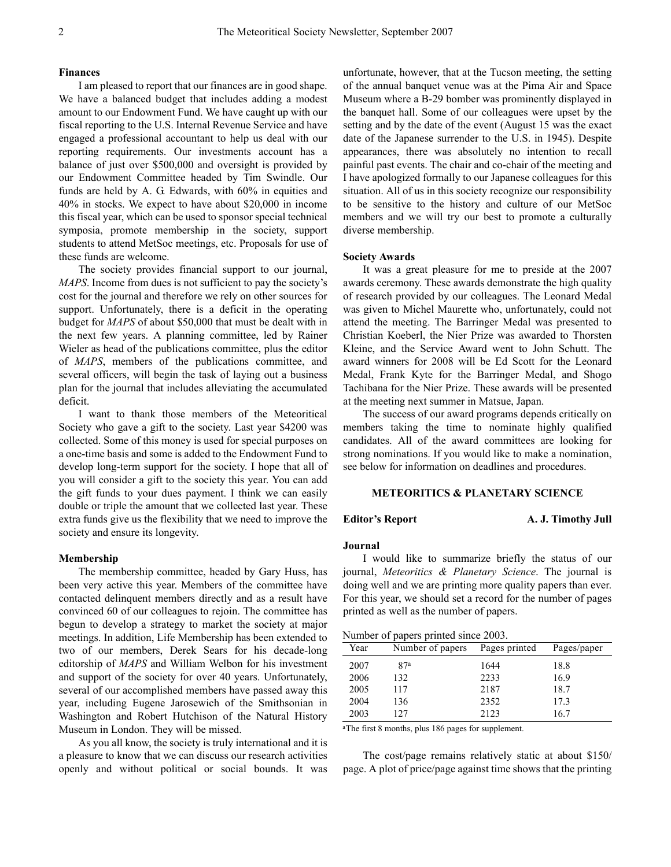#### **Finances**

I am pleased to report that our finances are in good shape. We have a balanced budget that includes adding a modest amount to our Endowment Fund. We have caught up with our fiscal reporting to the U.S. Internal Revenue Service and have engaged a professional accountant to help us deal with our reporting requirements. Our investments account has a balance of just over \$500,000 and oversight is provided by our Endowment Committee headed by Tim Swindle. Our funds are held by A. G. Edwards, with 60% in equities and 40% in stocks. We expect to have about \$20,000 in income this fiscal year, which can be used to sponsor special technical symposia, promote membership in the society, support students to attend MetSoc meetings, etc. Proposals for use of these funds are welcome.

The society provides financial support to our journal, *MAPS*. Income from dues is not sufficient to pay the society's cost for the journal and therefore we rely on other sources for support. Unfortunately, there is a deficit in the operating budget for *MAPS* of about \$50,000 that must be dealt with in the next few years. A planning committee, led by Rainer Wieler as head of the publications committee, plus the editor of *MAPS*, members of the publications committee, and several officers, will begin the task of laying out a business plan for the journal that includes alleviating the accumulated deficit.

I want to thank those members of the Meteoritical Society who gave a gift to the society. Last year \$4200 was collected. Some of this money is used for special purposes on a one-time basis and some is added to the Endowment Fund to develop long-term support for the society. I hope that all of you will consider a gift to the society this year. You can add the gift funds to your dues payment. I think we can easily double or triple the amount that we collected last year. These extra funds give us the flexibility that we need to improve the society and ensure its longevity.

#### **Membership**

The membership committee, headed by Gary Huss, has been very active this year. Members of the committee have contacted delinquent members directly and as a result have convinced 60 of our colleagues to rejoin. The committee has begun to develop a strategy to market the society at major meetings. In addition, Life Membership has been extended to two of our members, Derek Sears for his decade-long editorship of *MAPS* and William Welbon for his investment and support of the society for over 40 years. Unfortunately, several of our accomplished members have passed away this year, including Eugene Jarosewich of the Smithsonian in Washington and Robert Hutchison of the Natural History Museum in London. They will be missed.

As you all know, the society is truly international and it is a pleasure to know that we can discuss our research activities openly and without political or social bounds. It was

unfortunate, however, that at the Tucson meeting, the setting of the annual banquet venue was at the Pima Air and Space Museum where a B-29 bomber was prominently displayed in the banquet hall. Some of our colleagues were upset by the setting and by the date of the event (August 15 was the exact date of the Japanese surrender to the U.S. in 1945). Despite appearances, there was absolutely no intention to recall painful past events. The chair and co-chair of the meeting and I have apologized formally to our Japanese colleagues for this situation. All of us in this society recognize our responsibility to be sensitive to the history and culture of our MetSoc members and we will try our best to promote a culturally diverse membership.

#### **Society Awards**

It was a great pleasure for me to preside at the 2007 awards ceremony. These awards demonstrate the high quality of research provided by our colleagues. The Leonard Medal was given to Michel Maurette who, unfortunately, could not attend the meeting. The Barringer Medal was presented to Christian Koeberl, the Nier Prize was awarded to Thorsten Kleine, and the Service Award went to John Schutt. The award winners for 2008 will be Ed Scott for the Leonard Medal, Frank Kyte for the Barringer Medal, and Shogo Tachibana for the Nier Prize. These awards will be presented at the meeting next summer in Matsue, Japan.

The success of our award programs depends critically on members taking the time to nominate highly qualified candidates. All of the award committees are looking for strong nominations. If you would like to make a nomination, see below for information on deadlines and procedures.

#### **METEORITICS & PLANETARY SCIENCE**

**Editor's Report A. J. Timothy Jull** 

#### **Journal**

I would like to summarize briefly the status of our journal, *Meteoritics & Planetary Science*. The journal is doing well and we are printing more quality papers than ever. For this year, we should set a record for the number of pages printed as well as the number of papers.

|  | Number of papers printed since 2003. |  |  |
|--|--------------------------------------|--|--|
|--|--------------------------------------|--|--|

| Year | Number of papers | Pages printed | Pages/paper |
|------|------------------|---------------|-------------|
| 2007 | 87a              | 1644          | 18.8        |
| 2006 | 132              | 2233          | 16.9        |
| 2005 | 117              | 2187          | 18.7        |
| 2004 | 136              | 2352          | 17.3        |
| 2003 | 127              | 2123          | 16.7        |

aThe first 8 months, plus 186 pages for supplement.

The cost/page remains relatively static at about \$150/ page. A plot of price/page against time shows that the printing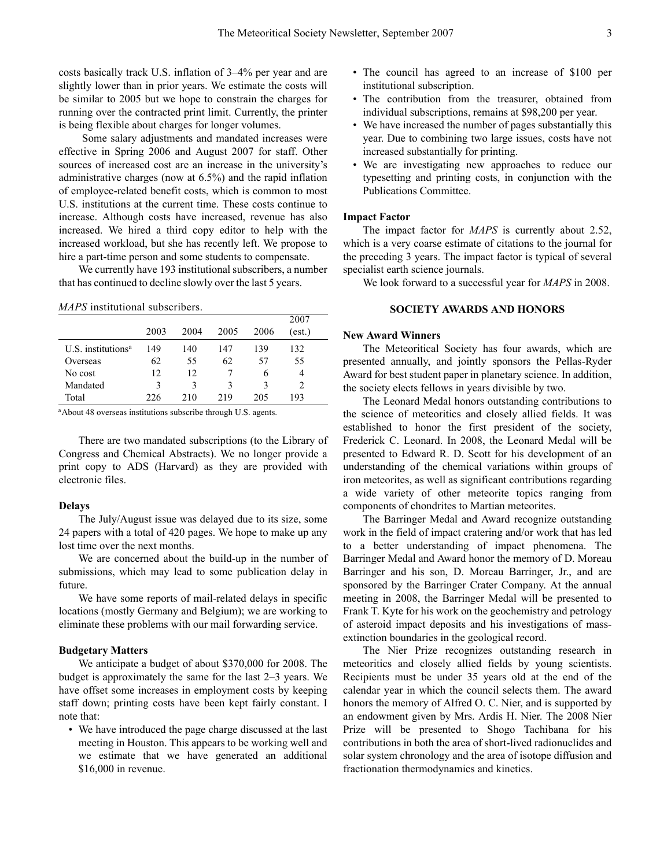costs basically track U.S. inflation of 3–4% per year and are slightly lower than in prior years. We estimate the costs will be similar to 2005 but we hope to constrain the charges for running over the contracted print limit. Currently, the printer is being flexible about charges for longer volumes.

 Some salary adjustments and mandated increases were effective in Spring 2006 and August 2007 for staff. Other sources of increased cost are an increase in the university's administrative charges (now at 6.5%) and the rapid inflation of employee-related benefit costs, which is common to most U.S. institutions at the current time. These costs continue to increase. Although costs have increased, revenue has also increased. We hired a third copy editor to help with the increased workload, but she has recently left. We propose to hire a part-time person and some students to compensate.

We currently have 193 institutional subscribers, a number that has continued to decline slowly over the last 5 years.

*MAPS* institutional subscribers.

|                                  |      |      |      |      | 2007   |
|----------------------------------|------|------|------|------|--------|
|                                  | 2003 | 2004 | 2005 | 2006 | (est.) |
| $U.S.$ institutions <sup>a</sup> | 149  | 140  | 147  | 139  | 132    |
| Overseas                         | 62   | 55   | 62   | 57   | 55     |
| No cost                          | 12   | 12   |      | h    | 4      |
| Mandated                         | 3    | 3    | 3    | 3    |        |
| Total                            | 226  | 210  | 219  | 205  | 193    |

aAbout 48 overseas institutions subscribe through U.S. agents.

There are two mandated subscriptions (to the Library of Congress and Chemical Abstracts). We no longer provide a print copy to ADS (Harvard) as they are provided with electronic files.

#### **Delays**

The July/August issue was delayed due to its size, some 24 papers with a total of 420 pages. We hope to make up any lost time over the next months.

We are concerned about the build-up in the number of submissions, which may lead to some publication delay in future.

We have some reports of mail-related delays in specific locations (mostly Germany and Belgium); we are working to eliminate these problems with our mail forwarding service.

# **Budgetary Matters**

We anticipate a budget of about \$370,000 for 2008. The budget is approximately the same for the last 2–3 years. We have offset some increases in employment costs by keeping staff down; printing costs have been kept fairly constant. I note that:

• We have introduced the page charge discussed at the last meeting in Houston. This appears to be working well and we estimate that we have generated an additional \$16,000 in revenue.

- The council has agreed to an increase of \$100 per institutional subscription.
- The contribution from the treasurer, obtained from individual subscriptions, remains at \$98,200 per year.
- We have increased the number of pages substantially this year. Due to combining two large issues, costs have not increased substantially for printing.
- We are investigating new approaches to reduce our typesetting and printing costs, in conjunction with the Publications Committee.

# **Impact Factor**

The impact factor for *MAPS* is currently about 2.52, which is a very coarse estimate of citations to the journal for the preceding 3 years. The impact factor is typical of several specialist earth science journals.

We look forward to a successful year for *MAPS* in 2008.

# **SOCIETY AWARDS AND HONORS**

# **New Award Winners**

The Meteoritical Society has four awards, which are presented annually, and jointly sponsors the Pellas-Ryder Award for best student paper in planetary science. In addition, the society elects fellows in years divisible by two.

The Leonard Medal honors outstanding contributions to the science of meteoritics and closely allied fields. It was established to honor the first president of the society, Frederick C. Leonard. In 2008, the Leonard Medal will be presented to Edward R. D. Scott for his development of an understanding of the chemical variations within groups of iron meteorites, as well as significant contributions regarding a wide variety of other meteorite topics ranging from components of chondrites to Martian meteorites.

The Barringer Medal and Award recognize outstanding work in the field of impact cratering and/or work that has led to a better understanding of impact phenomena. The Barringer Medal and Award honor the memory of D. Moreau Barringer and his son, D. Moreau Barringer, Jr., and are sponsored by the Barringer Crater Company. At the annual meeting in 2008, the Barringer Medal will be presented to Frank T. Kyte for his work on the geochemistry and petrology of asteroid impact deposits and his investigations of massextinction boundaries in the geological record.

The Nier Prize recognizes outstanding research in meteoritics and closely allied fields by young scientists. Recipients must be under 35 years old at the end of the calendar year in which the council selects them. The award honors the memory of Alfred O. C. Nier, and is supported by an endowment given by Mrs. Ardis H. Nier. The 2008 Nier Prize will be presented to Shogo Tachibana for his contributions in both the area of short-lived radionuclides and solar system chronology and the area of isotope diffusion and fractionation thermodynamics and kinetics.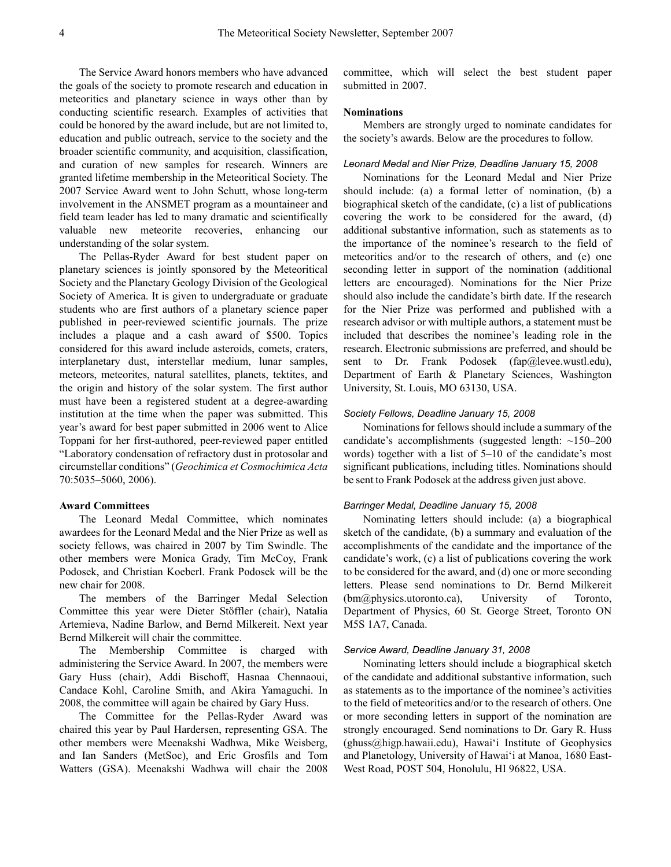The Service Award honors members who have advanced the goals of the society to promote research and education in meteoritics and planetary science in ways other than by conducting scientific research. Examples of activities that could be honored by the award include, but are not limited to, education and public outreach, service to the society and the broader scientific community, and acquisition, classification, and curation of new samples for research. Winners are granted lifetime membership in the Meteoritical Society. The 2007 Service Award went to John Schutt, whose long-term involvement in the ANSMET program as a mountaineer and field team leader has led to many dramatic and scientifically valuable new meteorite recoveries, enhancing our understanding of the solar system.

The Pellas-Ryder Award for best student paper on planetary sciences is jointly sponsored by the Meteoritical Society and the Planetary Geology Division of the Geological Society of America. It is given to undergraduate or graduate students who are first authors of a planetary science paper published in peer-reviewed scientific journals. The prize includes a plaque and a cash award of \$500. Topics considered for this award include asteroids, comets, craters, interplanetary dust, interstellar medium, lunar samples, meteors, meteorites, natural satellites, planets, tektites, and the origin and history of the solar system. The first author must have been a registered student at a degree-awarding institution at the time when the paper was submitted. This year's award for best paper submitted in 2006 went to Alice Toppani for her first-authored, peer-reviewed paper entitled "Laboratory condensation of refractory dust in protosolar and circumstellar conditions" (*Geochimica et Cosmochimica Acta* 70:5035–5060, 2006).

#### **Award Committees**

The Leonard Medal Committee, which nominates awardees for the Leonard Medal and the Nier Prize as well as society fellows, was chaired in 2007 by Tim Swindle. The other members were Monica Grady, Tim McCoy, Frank Podosek, and Christian Koeberl. Frank Podosek will be the new chair for 2008.

The members of the Barringer Medal Selection Committee this year were Dieter Stöffler (chair), Natalia Artemieva, Nadine Barlow, and Bernd Milkereit. Next year Bernd Milkereit will chair the committee.

The Membership Committee is charged with administering the Service Award. In 2007, the members were Gary Huss (chair), Addi Bischoff, Hasnaa Chennaoui, Candace Kohl, Caroline Smith, and Akira Yamaguchi. In 2008, the committee will again be chaired by Gary Huss.

The Committee for the Pellas-Ryder Award was chaired this year by Paul Hardersen, representing GSA. The other members were Meenakshi Wadhwa, Mike Weisberg, and Ian Sanders (MetSoc), and Eric Grosfils and Tom Watters (GSA). Meenakshi Wadhwa will chair the 2008

committee, which will select the best student paper submitted in 2007.

#### **Nominations**

Members are strongly urged to nominate candidates for the society's awards. Below are the procedures to follow.

#### *Leonard Medal and Nier Prize, Deadline January 15, 2008*

Nominations for the Leonard Medal and Nier Prize should include: (a) a formal letter of nomination, (b) a biographical sketch of the candidate, (c) a list of publications covering the work to be considered for the award, (d) additional substantive information, such as statements as to the importance of the nominee's research to the field of meteoritics and/or to the research of others, and (e) one seconding letter in support of the nomination (additional letters are encouraged). Nominations for the Nier Prize should also include the candidate's birth date. If the research for the Nier Prize was performed and published with a research advisor or with multiple authors, a statement must be included that describes the nominee's leading role in the research. Electronic submissions are preferred, and should be sent to Dr. Frank Podosek (fap@levee.wustl.edu), Department of Earth & Planetary Sciences, Washington University, St. Louis, MO 63130, USA.

#### *Society Fellows, Deadline January 15, 2008*

Nominations for fellows should include a summary of the candidate's accomplishments (suggested length: ~150–200 words) together with a list of 5–10 of the candidate's most significant publications, including titles. Nominations should be sent to Frank Podosek at the address given just above.

#### *Barringer Medal, Deadline January 15, 2008*

Nominating letters should include: (a) a biographical sketch of the candidate, (b) a summary and evaluation of the accomplishments of the candidate and the importance of the candidate's work, (c) a list of publications covering the work to be considered for the award, and (d) one or more seconding letters. Please send nominations to Dr. Bernd Milkereit (bm@physics.utoronto.ca), University of Toronto, Department of Physics, 60 St. George Street, Toronto ON M5S 1A7, Canada.

# *Service Award, Deadline January 31, 2008*

Nominating letters should include a biographical sketch of the candidate and additional substantive information, such as statements as to the importance of the nominee's activities to the field of meteoritics and/or to the research of others. One or more seconding letters in support of the nomination are strongly encouraged. Send nominations to Dr. Gary R. Huss (ghuss@higp.hawaii.edu), Hawai'i Institute of Geophysics and Planetology, University of Hawai'i at Manoa, 1680 East-West Road, POST 504, Honolulu, HI 96822, USA.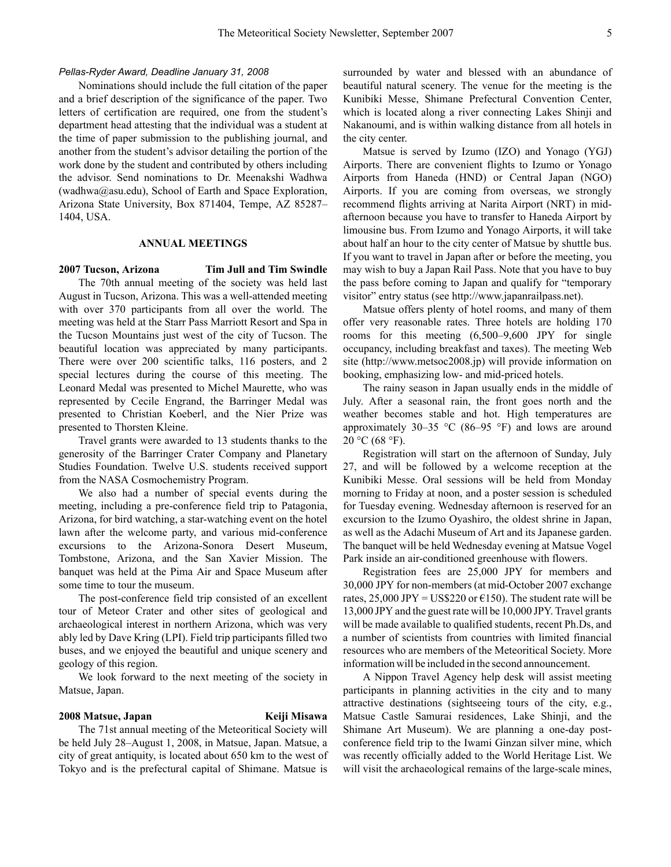#### *Pellas-Ryder Award, Deadline January 31, 2008*

Nominations should include the full citation of the paper and a brief description of the significance of the paper. Two letters of certification are required, one from the student's department head attesting that the individual was a student at the time of paper submission to the publishing journal, and another from the student's advisor detailing the portion of the work done by the student and contributed by others including the advisor. Send nominations to Dr. Meenakshi Wadhwa (wadhwa@asu.edu), School of Earth and Space Exploration, Arizona State University, Box 871404, Tempe, AZ 85287– 1404, USA.

# **ANNUAL MEETINGS**

**2007 Tucson, Arizona Tim Jull and Tim Swindle** The 70th annual meeting of the society was held last August in Tucson, Arizona. This was a well-attended meeting with over 370 participants from all over the world. The meeting was held at the Starr Pass Marriott Resort and Spa in the Tucson Mountains just west of the city of Tucson. The beautiful location was appreciated by many participants. There were over 200 scientific talks, 116 posters, and 2 special lectures during the course of this meeting. The Leonard Medal was presented to Michel Maurette, who was represented by Cecile Engrand, the Barringer Medal was presented to Christian Koeberl, and the Nier Prize was presented to Thorsten Kleine.

Travel grants were awarded to 13 students thanks to the generosity of the Barringer Crater Company and Planetary Studies Foundation. Twelve U.S. students received support from the NASA Cosmochemistry Program.

We also had a number of special events during the meeting, including a pre-conference field trip to Patagonia, Arizona, for bird watching, a star-watching event on the hotel lawn after the welcome party, and various mid-conference excursions to the Arizona-Sonora Desert Museum, Tombstone, Arizona, and the San Xavier Mission. The banquet was held at the Pima Air and Space Museum after some time to tour the museum.

The post-conference field trip consisted of an excellent tour of Meteor Crater and other sites of geological and archaeological interest in northern Arizona, which was very ably led by Dave Kring (LPI). Field trip participants filled two buses, and we enjoyed the beautiful and unique scenery and geology of this region.

We look forward to the next meeting of the society in Matsue, Japan.

# **2008 Matsue, Japan Keiji Misawa**

The 71st annual meeting of the Meteoritical Society will be held July 28–August 1, 2008, in Matsue, Japan. Matsue, a city of great antiquity, is located about 650 km to the west of Tokyo and is the prefectural capital of Shimane. Matsue is

surrounded by water and blessed with an abundance of beautiful natural scenery. The venue for the meeting is the Kunibiki Messe, Shimane Prefectural Convention Center, which is located along a river connecting Lakes Shinji and Nakanoumi, and is within walking distance from all hotels in the city center.

Matsue is served by Izumo (IZO) and Yonago (YGJ) Airports. There are convenient flights to Izumo or Yonago Airports from Haneda (HND) or Central Japan (NGO) Airports. If you are coming from overseas, we strongly recommend flights arriving at Narita Airport (NRT) in midafternoon because you have to transfer to Haneda Airport by limousine bus. From Izumo and Yonago Airports, it will take about half an hour to the city center of Matsue by shuttle bus. If you want to travel in Japan after or before the meeting, you may wish to buy a Japan Rail Pass. Note that you have to buy the pass before coming to Japan and qualify for "temporary visitor" entry status (see http://www.japanrailpass.net).

Matsue offers plenty of hotel rooms, and many of them offer very reasonable rates. Three hotels are holding 170 rooms for this meeting (6,500–9,600 JPY for single occupancy, including breakfast and taxes). The meeting Web site (http://www.metsoc2008.jp) will provide information on booking, emphasizing low- and mid-priced hotels.

The rainy season in Japan usually ends in the middle of July. After a seasonal rain, the front goes north and the weather becomes stable and hot. High temperatures are approximately 30–35  $\degree$ C (86–95  $\degree$ F) and lows are around  $20 °C$  (68 °F).

Registration will start on the afternoon of Sunday, July 27, and will be followed by a welcome reception at the Kunibiki Messe. Oral sessions will be held from Monday morning to Friday at noon, and a poster session is scheduled for Tuesday evening. Wednesday afternoon is reserved for an excursion to the Izumo Oyashiro, the oldest shrine in Japan, as well as the Adachi Museum of Art and its Japanese garden. The banquet will be held Wednesday evening at Matsue Vogel Park inside an air-conditioned greenhouse with flowers.

Registration fees are 25,000 JPY for members and 30,000 JPY for non-members (at mid-October 2007 exchange rates, 25,000 JPY = US\$220 or  $\epsilon$ 150). The student rate will be 13,000 JPY and the guest rate will be 10,000 JPY. Travel grants will be made available to qualified students, recent Ph.Ds, and a number of scientists from countries with limited financial resources who are members of the Meteoritical Society. More information will be included in the second announcement.

A Nippon Travel Agency help desk will assist meeting participants in planning activities in the city and to many attractive destinations (sightseeing tours of the city, e.g., Matsue Castle Samurai residences, Lake Shinji, and the Shimane Art Museum). We are planning a one-day postconference field trip to the Iwami Ginzan silver mine, which was recently officially added to the World Heritage List. We will visit the archaeological remains of the large-scale mines,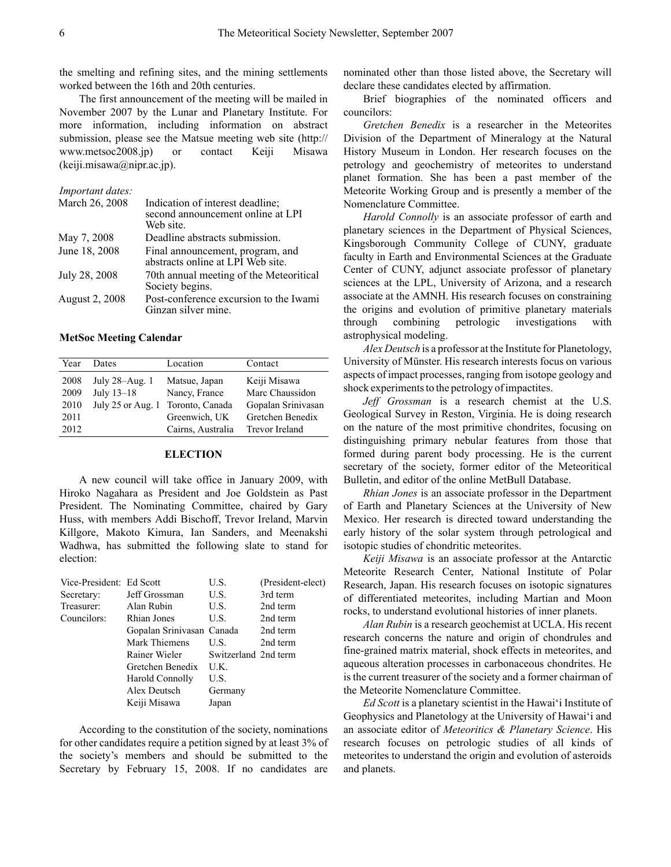the smelting and refining sites, and the mining settlements worked between the 16th and 20th centuries.

The first announcement of the meeting will be mailed in November 2007 by the Lunar and Planetary Institute. For more information, including information on abstract submission, please see the Matsue meeting web site (http:// www.metsoc2008.jp) or contact Keiji Misawa (keiji.misawa@nipr.ac.jp).

# *Important dates:*

| March 26, 2008        | Indication of interest deadline;<br>second announcement online at LPI<br>Web site. |
|-----------------------|------------------------------------------------------------------------------------|
| May 7, 2008           | Deadline abstracts submission.                                                     |
| June 18, 2008         | Final announcement, program, and<br>abstracts online at LPI Web site.              |
| July 28, 2008         | 70th annual meeting of the Meteoritical<br>Society begins.                         |
| <b>August 2, 2008</b> | Post-conference excursion to the Iwami<br>Ginzan silver mine.                      |

#### **MetSoc Meeting Calendar**

| Keiji Misawa<br>2008<br>July 28-Aug. 1<br>Matsue, Japan<br>July 13-18<br>Marc Chaussidon<br>2009<br>Nancy, France<br>2010<br>July 25 or Aug. 1<br>Toronto, Canada<br>Greenwich, UK<br>Gretchen Benedix<br>2011 | Year | Dates | Location | Contact            |
|----------------------------------------------------------------------------------------------------------------------------------------------------------------------------------------------------------------|------|-------|----------|--------------------|
| 2012<br>Cairns, Australia<br>Trevor Ireland                                                                                                                                                                    |      |       |          | Gopalan Srinivasan |

#### **ELECTION**

A new council will take office in January 2009, with Hiroko Nagahara as President and Joe Goldstein as Past President. The Nominating Committee, chaired by Gary Huss, with members Addi Bischoff, Trevor Ireland, Marvin Killgore, Makoto Kimura, Ian Sanders, and Meenakshi Wadhwa, has submitted the following slate to stand for election:

| Vice-President: Ed Scott |                           | U.S.                 | (President-elect) |
|--------------------------|---------------------------|----------------------|-------------------|
| Secretary:               | Jeff Grossman             | U.S.                 | 3rd term          |
| Treasurer:               | Alan Rubin                | U.S.                 | 2nd term          |
| Councilors:              | Rhian Jones               | U.S.                 | 2nd term          |
|                          | Gopalan Sriniyasan Canada |                      | 2nd term          |
|                          | Mark Thiemens             | U.S.                 | 2nd term          |
|                          | Rainer Wieler             | Switzerland 2nd term |                   |
|                          | Gretchen Benedix          | U.K.                 |                   |
|                          | Harold Connolly           | U.S.                 |                   |
|                          | Alex Deutsch              | Germany              |                   |
|                          | Keiji Misawa              | Japan                |                   |
|                          |                           |                      |                   |

According to the constitution of the society, nominations for other candidates require a petition signed by at least 3% of the society's members and should be submitted to the Secretary by February 15, 2008. If no candidates are nominated other than those listed above, the Secretary will declare these candidates elected by affirmation.

Brief biographies of the nominated officers and councilors:

*Gretchen Benedix* is a researcher in the Meteorites Division of the Department of Mineralogy at the Natural History Museum in London. Her research focuses on the petrology and geochemistry of meteorites to understand planet formation. She has been a past member of the Meteorite Working Group and is presently a member of the Nomenclature Committee.

*Harold Connolly* is an associate professor of earth and planetary sciences in the Department of Physical Sciences, Kingsborough Community College of CUNY, graduate faculty in Earth and Environmental Sciences at the Graduate Center of CUNY, adjunct associate professor of planetary sciences at the LPL, University of Arizona, and a research associate at the AMNH. His research focuses on constraining the origins and evolution of primitive planetary materials through combining petrologic investigations with astrophysical modeling.

*Alex Deutsch* is a professor at the Institute for Planetology, University of Münster. His research interests focus on various aspects of impact processes, ranging from isotope geology and shock experiments to the petrology of impactites.

*Jeff Grossman* is a research chemist at the U.S. Geological Survey in Reston, Virginia. He is doing research on the nature of the most primitive chondrites, focusing on distinguishing primary nebular features from those that formed during parent body processing. He is the current secretary of the society, former editor of the Meteoritical Bulletin, and editor of the online MetBull Database.

*Rhian Jones* is an associate professor in the Department of Earth and Planetary Sciences at the University of New Mexico. Her research is directed toward understanding the early history of the solar system through petrological and isotopic studies of chondritic meteorites.

*Keiji Misawa* is an associate professor at the Antarctic Meteorite Research Center, National Institute of Polar Research, Japan. His research focuses on isotopic signatures of differentiated meteorites, including Martian and Moon rocks, to understand evolutional histories of inner planets.

*Alan Rubin* is a research geochemist at UCLA. His recent research concerns the nature and origin of chondrules and fine-grained matrix material, shock effects in meteorites, and aqueous alteration processes in carbonaceous chondrites. He is the current treasurer of the society and a former chairman of the Meteorite Nomenclature Committee.

*Ed Scott* is a planetary scientist in the Hawai'i Institute of Geophysics and Planetology at the University of Hawai'i and an associate editor of *Meteoritics & Planetary Science*. His research focuses on petrologic studies of all kinds of meteorites to understand the origin and evolution of asteroids and planets.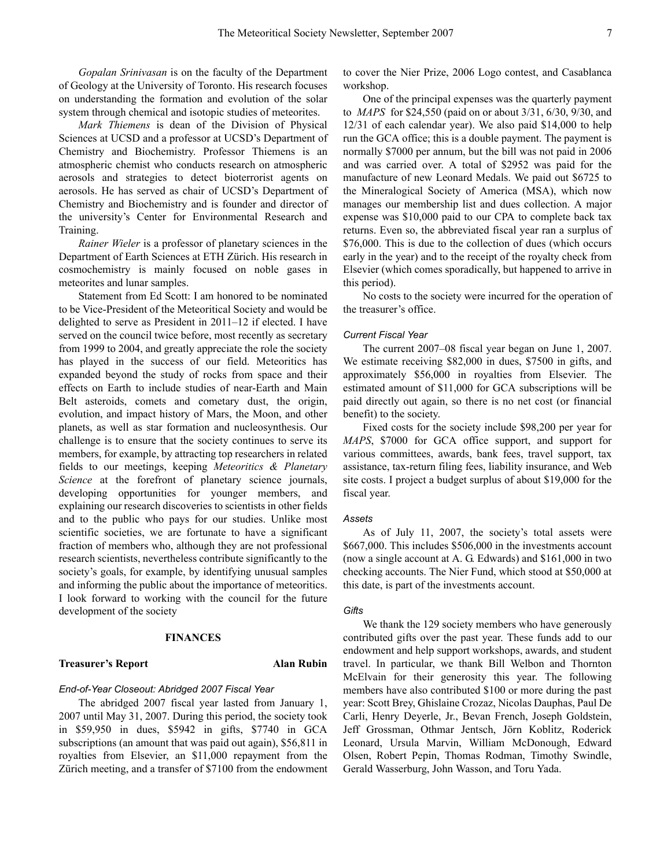*Gopalan Srinivasan* is on the faculty of the Department of Geology at the University of Toronto. His research focuses on understanding the formation and evolution of the solar system through chemical and isotopic studies of meteorites.

*Mark Thiemens* is dean of the Division of Physical Sciences at UCSD and a professor at UCSD's Department of Chemistry and Biochemistry. Professor Thiemens is an atmospheric chemist who conducts research on atmospheric aerosols and strategies to detect bioterrorist agents on aerosols. He has served as chair of UCSD's Department of Chemistry and Biochemistry and is founder and director of the university's Center for Environmental Research and Training.

*Rainer Wieler* is a professor of planetary sciences in the Department of Earth Sciences at ETH Zürich. His research in cosmochemistry is mainly focused on noble gases in meteorites and lunar samples.

Statement from Ed Scott: I am honored to be nominated to be Vice-President of the Meteoritical Society and would be delighted to serve as President in 2011–12 if elected. I have served on the council twice before, most recently as secretary from 1999 to 2004, and greatly appreciate the role the society has played in the success of our field. Meteoritics has expanded beyond the study of rocks from space and their effects on Earth to include studies of near-Earth and Main Belt asteroids, comets and cometary dust, the origin, evolution, and impact history of Mars, the Moon, and other planets, as well as star formation and nucleosynthesis. Our challenge is to ensure that the society continues to serve its members, for example, by attracting top researchers in related fields to our meetings, keeping *Meteoritics & Planetary Science* at the forefront of planetary science journals, developing opportunities for younger members, and explaining our research discoveries to scientists in other fields and to the public who pays for our studies. Unlike most scientific societies, we are fortunate to have a significant fraction of members who, although they are not professional research scientists, nevertheless contribute significantly to the society's goals, for example, by identifying unusual samples and informing the public about the importance of meteoritics. I look forward to working with the council for the future development of the society

#### **FINANCES**

#### **Treasurer's Report Alan Rubin**

# *End-of-Year Closeout: Abridged 2007 Fiscal Year*

The abridged 2007 fiscal year lasted from January 1, 2007 until May 31, 2007. During this period, the society took in \$59,950 in dues, \$5942 in gifts, \$7740 in GCA subscriptions (an amount that was paid out again), \$56,811 in royalties from Elsevier, an \$11,000 repayment from the Zürich meeting, and a transfer of \$7100 from the endowment to cover the Nier Prize, 2006 Logo contest, and Casablanca workshop.

One of the principal expenses was the quarterly payment to *MAPS* for \$24,550 (paid on or about 3/31, 6/30, 9/30, and 12/31 of each calendar year). We also paid \$14,000 to help run the GCA office; this is a double payment. The payment is normally \$7000 per annum, but the bill was not paid in 2006 and was carried over. A total of \$2952 was paid for the manufacture of new Leonard Medals. We paid out \$6725 to the Mineralogical Society of America (MSA), which now manages our membership list and dues collection. A major expense was \$10,000 paid to our CPA to complete back tax returns. Even so, the abbreviated fiscal year ran a surplus of \$76,000. This is due to the collection of dues (which occurs early in the year) and to the receipt of the royalty check from Elsevier (which comes sporadically, but happened to arrive in this period).

No costs to the society were incurred for the operation of the treasurer's office.

#### *Current Fiscal Year*

The current 2007–08 fiscal year began on June 1, 2007. We estimate receiving \$82,000 in dues, \$7500 in gifts, and approximately \$56,000 in royalties from Elsevier. The estimated amount of \$11,000 for GCA subscriptions will be paid directly out again, so there is no net cost (or financial benefit) to the society.

Fixed costs for the society include \$98,200 per year for *MAPS*, \$7000 for GCA office support, and support for various committees, awards, bank fees, travel support, tax assistance, tax-return filing fees, liability insurance, and Web site costs. I project a budget surplus of about \$19,000 for the fiscal year.

#### *Assets*

As of July 11, 2007, the society's total assets were \$667,000. This includes \$506,000 in the investments account (now a single account at A. G. Edwards) and \$161,000 in two checking accounts. The Nier Fund, which stood at \$50,000 at this date, is part of the investments account.

#### *Gifts*

We thank the 129 society members who have generously contributed gifts over the past year. These funds add to our endowment and help support workshops, awards, and student travel. In particular, we thank Bill Welbon and Thornton McElvain for their generosity this year. The following members have also contributed \$100 or more during the past year: Scott Brey, Ghislaine Crozaz, Nicolas Dauphas, Paul De Carli, Henry Deyerle, Jr., Bevan French, Joseph Goldstein, Jeff Grossman, Othmar Jentsch, Jörn Koblitz, Roderick Leonard, Ursula Marvin, William McDonough, Edward Olsen, Robert Pepin, Thomas Rodman, Timothy Swindle, Gerald Wasserburg, John Wasson, and Toru Yada.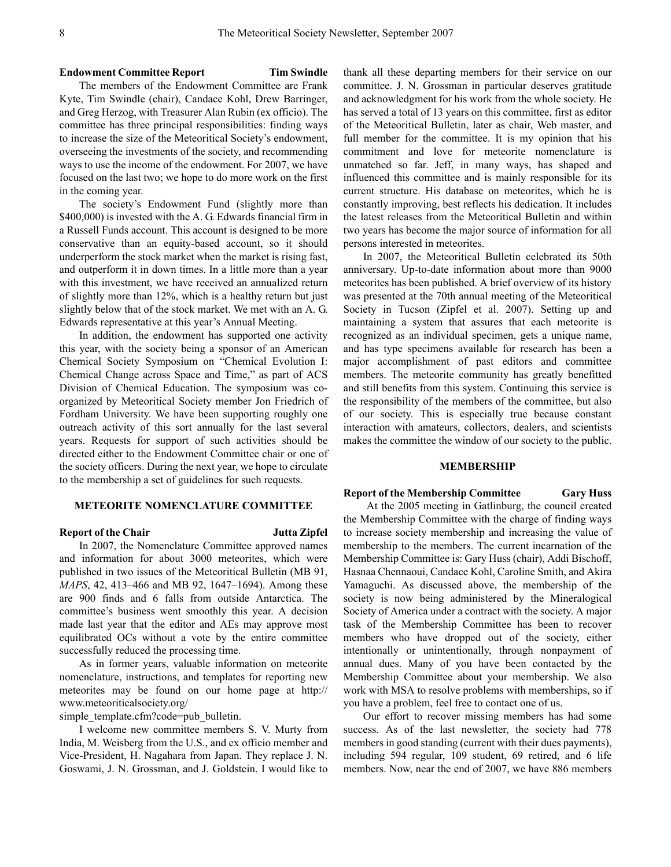# **Endowment Committee Report Tim Swindle**

The members of the Endowment Committee are Frank Kyte, Tim Swindle (chair), Candace Kohl, Drew Barringer, and Greg Herzog, with Treasurer Alan Rubin (ex officio). The committee has three principal responsibilities: finding ways to increase the size of the Meteoritical Society's endowment, overseeing the investments of the society, and recommending ways to use the income of the endowment. For 2007, we have focused on the last two; we hope to do more work on the first in the coming year.

The society's Endowment Fund (slightly more than \$400,000) is invested with the A. G. Edwards financial firm in a Russell Funds account. This account is designed to be more conservative than an equity-based account, so it should underperform the stock market when the market is rising fast, and outperform it in down times. In a little more than a year with this investment, we have received an annualized return of slightly more than 12%, which is a healthy return but just slightly below that of the stock market. We met with an A. G. Edwards representative at this year's Annual Meeting.

In addition, the endowment has supported one activity this year, with the society being a sponsor of an American Chemical Society Symposium on "Chemical Evolution I: Chemical Change across Space and Time," as part of ACS Division of Chemical Education. The symposium was coorganized by Meteoritical Society member Jon Friedrich of Fordham University. We have been supporting roughly one outreach activity of this sort annually for the last several years. Requests for support of such activities should be directed either to the Endowment Committee chair or one of the society officers. During the next year, we hope to circulate to the membership a set of guidelines for such requests.

# **METEORITE NOMENCLATURE COMMITTEE**

# **Report of the Chair Jutta Zipfel**

In 2007, the Nomenclature Committee approved names and information for about 3000 meteorites, which were published in two issues of the Meteoritical Bulletin (MB 91, *MAPS*, 42, 413–466 and MB 92, 1647–1694). Among these are 900 finds and 6 falls from outside Antarctica. The committee's business went smoothly this year. A decision made last year that the editor and AEs may approve most equilibrated OCs without a vote by the entire committee successfully reduced the processing time.

As in former years, valuable information on meteorite nomenclature, instructions, and templates for reporting new meteorites may be found on our home page at http:// www.meteoriticalsociety.org/

simple\_template.cfm?code=pub\_bulletin.

I welcome new committee members S. V. Murty from India, M. Weisberg from the U.S., and ex officio member and Vice-President, H. Nagahara from Japan. They replace J. N. Goswami, J. N. Grossman, and J. Goldstein. I would like to

thank all these departing members for their service on our committee. J. N. Grossman in particular deserves gratitude and acknowledgment for his work from the whole society. He has served a total of 13 years on this committee, first as editor of the Meteoritical Bulletin, later as chair, Web master, and full member for the committee. It is my opinion that his commitment and love for meteorite nomenclature is unmatched so far. Jeff, in many ways, has shaped and influenced this committee and is mainly responsible for its current structure. His database on meteorites, which he is constantly improving, best reflects his dedication. It includes the latest releases from the Meteoritical Bulletin and within two years has become the major source of information for all persons interested in meteorites.

In 2007, the Meteoritical Bulletin celebrated its 50th anniversary. Up-to-date information about more than 9000 meteorites has been published. A brief overview of its history was presented at the 70th annual meeting of the Meteoritical Society in Tucson (Zipfel et al. 2007). Setting up and maintaining a system that assures that each meteorite is recognized as an individual specimen, gets a unique name, and has type specimens available for research has been a major accomplishment of past editors and committee members. The meteorite community has greatly benefitted and still benefits from this system. Continuing this service is the responsibility of the members of the committee, but also of our society. This is especially true because constant interaction with amateurs, collectors, dealers, and scientists makes the committee the window of our society to the public.

#### **MEMBERSHIP**

# **Report of the Membership Committee Gary Huss**

 At the 2005 meeting in Gatlinburg, the council created the Membership Committee with the charge of finding ways to increase society membership and increasing the value of membership to the members. The current incarnation of the Membership Committee is: Gary Huss (chair), Addi Bischoff, Hasnaa Chennaoui, Candace Kohl, Caroline Smith, and Akira Yamaguchi. As discussed above, the membership of the society is now being administered by the Mineralogical Society of America under a contract with the society. A major task of the Membership Committee has been to recover members who have dropped out of the society, either intentionally or unintentionally, through nonpayment of annual dues. Many of you have been contacted by the Membership Committee about your membership. We also work with MSA to resolve problems with memberships, so if you have a problem, feel free to contact one of us.

Our effort to recover missing members has had some success. As of the last newsletter, the society had 778 members in good standing (current with their dues payments), including 594 regular, 109 student, 69 retired, and 6 life members. Now, near the end of 2007, we have 886 members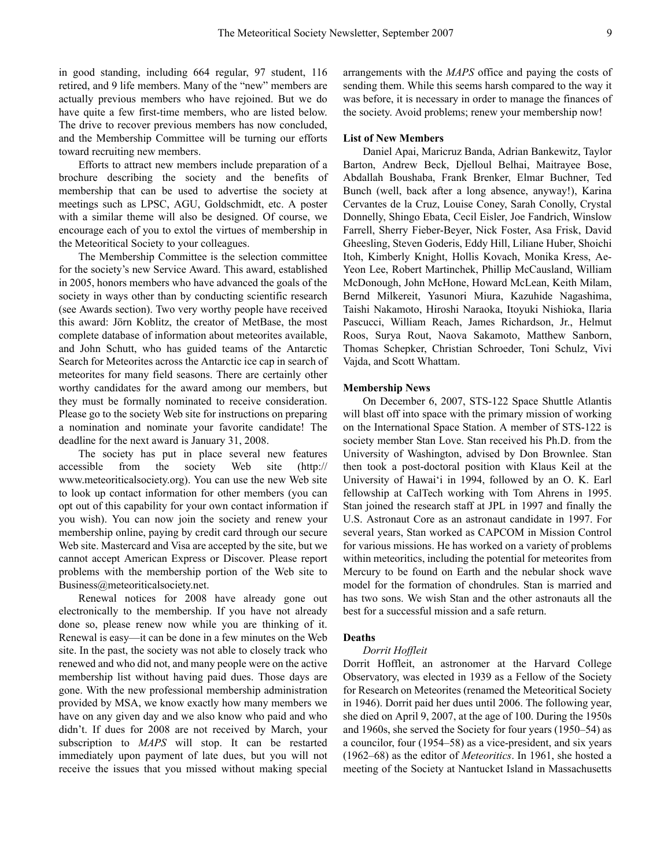in good standing, including 664 regular, 97 student, 116 retired, and 9 life members. Many of the "new" members are actually previous members who have rejoined. But we do have quite a few first-time members, who are listed below. The drive to recover previous members has now concluded, and the Membership Committee will be turning our efforts toward recruiting new members.

Efforts to attract new members include preparation of a brochure describing the society and the benefits of membership that can be used to advertise the society at meetings such as LPSC, AGU, Goldschmidt, etc. A poster with a similar theme will also be designed. Of course, we encourage each of you to extol the virtues of membership in the Meteoritical Society to your colleagues.

The Membership Committee is the selection committee for the society's new Service Award. This award, established in 2005, honors members who have advanced the goals of the society in ways other than by conducting scientific research (see Awards section). Two very worthy people have received this award: Jörn Koblitz, the creator of MetBase, the most complete database of information about meteorites available, and John Schutt, who has guided teams of the Antarctic Search for Meteorites across the Antarctic ice cap in search of meteorites for many field seasons. There are certainly other worthy candidates for the award among our members, but they must be formally nominated to receive consideration. Please go to the society Web site for instructions on preparing a nomination and nominate your favorite candidate! The deadline for the next award is January 31, 2008.

The society has put in place several new features accessible from the society Web site (http:// www.meteoriticalsociety.org). You can use the new Web site to look up contact information for other members (you can opt out of this capability for your own contact information if you wish). You can now join the society and renew your membership online, paying by credit card through our secure Web site. Mastercard and Visa are accepted by the site, but we cannot accept American Express or Discover. Please report problems with the membership portion of the Web site to Business@meteoriticalsociety.net.

Renewal notices for 2008 have already gone out electronically to the membership. If you have not already done so, please renew now while you are thinking of it. Renewal is easy—it can be done in a few minutes on the Web site. In the past, the society was not able to closely track who renewed and who did not, and many people were on the active membership list without having paid dues. Those days are gone. With the new professional membership administration provided by MSA, we know exactly how many members we have on any given day and we also know who paid and who didn't. If dues for 2008 are not received by March, your subscription to *MAPS* will stop. It can be restarted immediately upon payment of late dues, but you will not receive the issues that you missed without making special arrangements with the *MAPS* office and paying the costs of sending them. While this seems harsh compared to the way it was before, it is necessary in order to manage the finances of the society. Avoid problems; renew your membership now!

# **List of New Members**

Daniel Apai, Maricruz Banda, Adrian Bankewitz, Taylor Barton, Andrew Beck, Djelloul Belhai, Maitrayee Bose, Abdallah Boushaba, Frank Brenker, Elmar Buchner, Ted Bunch (well, back after a long absence, anyway!), Karina Cervantes de la Cruz, Louise Coney, Sarah Conolly, Crystal Donnelly, Shingo Ebata, Cecil Eisler, Joe Fandrich, Winslow Farrell, Sherry Fieber-Beyer, Nick Foster, Asa Frisk, David Gheesling, Steven Goderis, Eddy Hill, Liliane Huber, Shoichi Itoh, Kimberly Knight, Hollis Kovach, Monika Kress, Ae-Yeon Lee, Robert Martinchek, Phillip McCausland, William McDonough, John McHone, Howard McLean, Keith Milam, Bernd Milkereit, Yasunori Miura, Kazuhide Nagashima, Taishi Nakamoto, Hiroshi Naraoka, Itoyuki Nishioka, Ilaria Pascucci, William Reach, James Richardson, Jr., Helmut Roos, Surya Rout, Naova Sakamoto, Matthew Sanborn, Thomas Schepker, Christian Schroeder, Toni Schulz, Vivi Vajda, and Scott Whattam.

#### **Membership News**

On December 6, 2007, STS-122 Space Shuttle Atlantis will blast off into space with the primary mission of working on the International Space Station. A member of STS-122 is society member Stan Love. Stan received his Ph.D. from the University of Washington, advised by Don Brownlee. Stan then took a post-doctoral position with Klaus Keil at the University of Hawai'i in 1994, followed by an O. K. Earl fellowship at CalTech working with Tom Ahrens in 1995. Stan joined the research staff at JPL in 1997 and finally the U.S. Astronaut Core as an astronaut candidate in 1997. For several years, Stan worked as CAPCOM in Mission Control for various missions. He has worked on a variety of problems within meteoritics, including the potential for meteorites from Mercury to be found on Earth and the nebular shock wave model for the formation of chondrules. Stan is married and has two sons. We wish Stan and the other astronauts all the best for a successful mission and a safe return.

#### **Deaths**

#### *Dorrit Hoffleit*

Dorrit Hoffleit, an astronomer at the Harvard College Observatory, was elected in 1939 as a Fellow of the Society for Research on Meteorites (renamed the Meteoritical Society in 1946). Dorrit paid her dues until 2006. The following year, she died on April 9, 2007, at the age of 100. During the 1950s and 1960s, she served the Society for four years (1950–54) as a councilor, four (1954–58) as a vice-president, and six years (1962–68) as the editor of *Meteoritics*. In 1961, she hosted a meeting of the Society at Nantucket Island in Massachusetts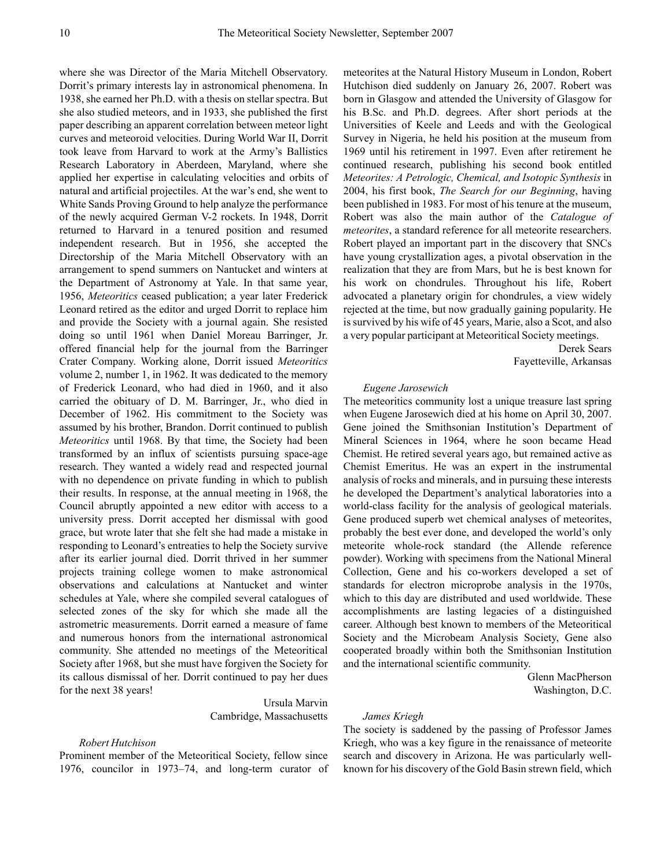where she was Director of the Maria Mitchell Observatory. Dorrit's primary interests lay in astronomical phenomena. In 1938, she earned her Ph.D. with a thesis on stellar spectra. But she also studied meteors, and in 1933, she published the first paper describing an apparent correlation between meteor light curves and meteoroid velocities. During World War II, Dorrit took leave from Harvard to work at the Army's Ballistics Research Laboratory in Aberdeen, Maryland, where she applied her expertise in calculating velocities and orbits of natural and artificial projectiles. At the war's end, she went to White Sands Proving Ground to help analyze the performance of the newly acquired German V-2 rockets. In 1948, Dorrit returned to Harvard in a tenured position and resumed independent research. But in 1956, she accepted the Directorship of the Maria Mitchell Observatory with an arrangement to spend summers on Nantucket and winters at the Department of Astronomy at Yale. In that same year, 1956, *Meteoritics* ceased publication; a year later Frederick Leonard retired as the editor and urged Dorrit to replace him and provide the Society with a journal again. She resisted doing so until 1961 when Daniel Moreau Barringer, Jr. offered financial help for the journal from the Barringer Crater Company. Working alone, Dorrit issued *Meteoritics* volume 2, number 1, in 1962. It was dedicated to the memory of Frederick Leonard, who had died in 1960, and it also carried the obituary of D. M. Barringer, Jr., who died in December of 1962. His commitment to the Society was assumed by his brother, Brandon. Dorrit continued to publish *Meteoritics* until 1968. By that time, the Society had been transformed by an influx of scientists pursuing space-age research. They wanted a widely read and respected journal with no dependence on private funding in which to publish their results. In response, at the annual meeting in 1968, the Council abruptly appointed a new editor with access to a university press. Dorrit accepted her dismissal with good grace, but wrote later that she felt she had made a mistake in responding to Leonard's entreaties to help the Society survive after its earlier journal died. Dorrit thrived in her summer projects training college women to make astronomical observations and calculations at Nantucket and winter schedules at Yale, where she compiled several catalogues of selected zones of the sky for which she made all the astrometric measurements. Dorrit earned a measure of fame and numerous honors from the international astronomical community. She attended no meetings of the Meteoritical Society after 1968, but she must have forgiven the Society for its callous dismissal of her. Dorrit continued to pay her dues for the next 38 years!

> Ursula Marvin Cambridge, Massachusetts

# *Robert Hutchison*

Prominent member of the Meteoritical Society, fellow since 1976, councilor in 1973–74, and long-term curator of meteorites at the Natural History Museum in London, Robert Hutchison died suddenly on January 26, 2007. Robert was born in Glasgow and attended the University of Glasgow for his B.Sc. and Ph.D. degrees. After short periods at the Universities of Keele and Leeds and with the Geological Survey in Nigeria, he held his position at the museum from 1969 until his retirement in 1997. Even after retirement he continued research, publishing his second book entitled *Meteorites: A Petrologic, Chemical, and Isotopic Synthesis* in 2004, his first book, *The Search for our Beginning*, having been published in 1983. For most of his tenure at the museum, Robert was also the main author of the *Catalogue of meteorites*, a standard reference for all meteorite researchers. Robert played an important part in the discovery that SNCs have young crystallization ages, a pivotal observation in the realization that they are from Mars, but he is best known for his work on chondrules. Throughout his life, Robert advocated a planetary origin for chondrules, a view widely rejected at the time, but now gradually gaining popularity. He is survived by his wife of 45 years, Marie, also a Scot, and also a very popular participant at Meteoritical Society meetings.

> Derek Sears Fayetteville, Arkansas

#### *Eugene Jarosewich*

The meteoritics community lost a unique treasure last spring when Eugene Jarosewich died at his home on April 30, 2007. Gene joined the Smithsonian Institution's Department of Mineral Sciences in 1964, where he soon became Head Chemist. He retired several years ago, but remained active as Chemist Emeritus. He was an expert in the instrumental analysis of rocks and minerals, and in pursuing these interests he developed the Department's analytical laboratories into a world-class facility for the analysis of geological materials. Gene produced superb wet chemical analyses of meteorites, probably the best ever done, and developed the world's only meteorite whole-rock standard (the Allende reference powder). Working with specimens from the National Mineral Collection, Gene and his co-workers developed a set of standards for electron microprobe analysis in the 1970s, which to this day are distributed and used worldwide. These accomplishments are lasting legacies of a distinguished career. Although best known to members of the Meteoritical Society and the Microbeam Analysis Society, Gene also cooperated broadly within both the Smithsonian Institution and the international scientific community.

> Glenn MacPherson Washington, D.C.

#### *James Kriegh*

The society is saddened by the passing of Professor James Kriegh, who was a key figure in the renaissance of meteorite search and discovery in Arizona. He was particularly wellknown for his discovery of the Gold Basin strewn field, which